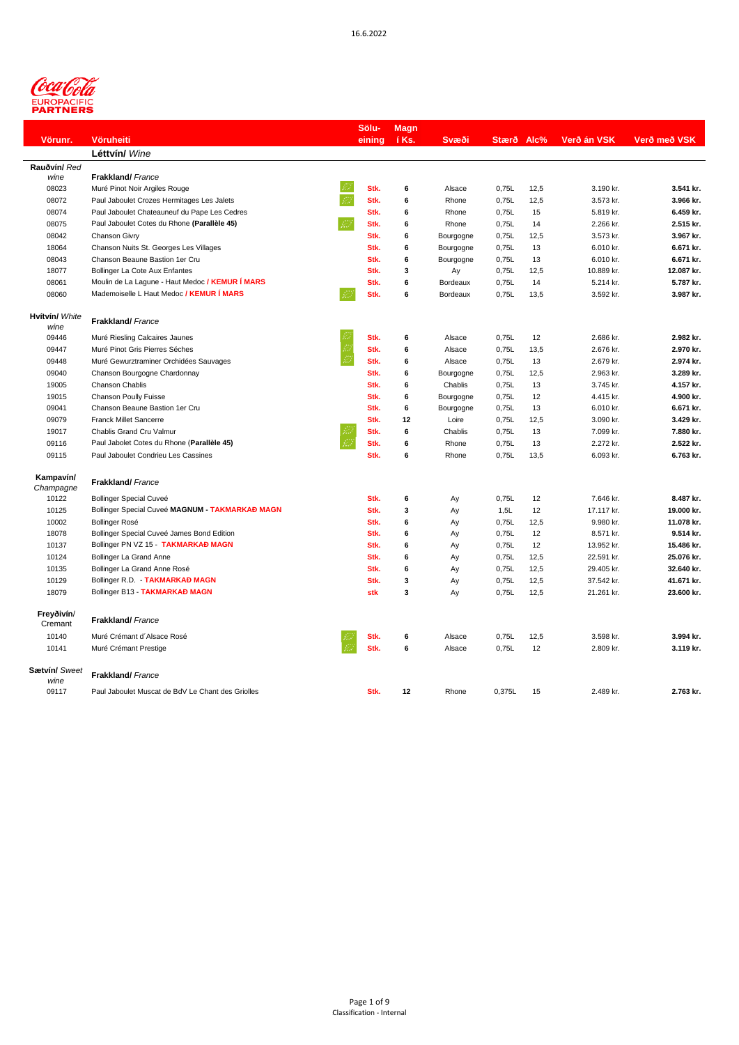

|                        |                                                   | Sölu-  | <b>Magn</b> |           |            |      |             |              |
|------------------------|---------------------------------------------------|--------|-------------|-----------|------------|------|-------------|--------------|
| Vörunr.                | <b>Vöruheiti</b>                                  | eining | í Ks.       | Svæði     | Stærð Alc% |      | Verð án VSK | Verð með VSK |
|                        | Léttvín/ Wine                                     |        |             |           |            |      |             |              |
| Rauðvín/ Red           |                                                   |        |             |           |            |      |             |              |
| wine                   | <b>Frakkland/</b> France                          |        |             |           |            |      |             |              |
| 08023                  | Muré Pinot Noir Argiles Rouge                     | Stk.   | 6           | Alsace    | 0,75L      | 12,5 | 3.190 kr.   | 3.541 kr.    |
| 08072                  | Paul Jaboulet Crozes Hermitages Les Jalets        | Stk.   | 6           | Rhone     | 0,75L      | 12,5 | 3.573 kr.   | 3.966 kr.    |
| 08074                  | Paul Jaboulet Chateauneuf du Pape Les Cedres      | Stk.   | 6           | Rhone     | 0,75L      | 15   | 5.819 kr.   | 6.459 kr.    |
| 08075                  | Paul Jaboulet Cotes du Rhone (Parallèle 45)<br>23 | Stk.   | 6           | Rhone     | 0,75L      | 14   | 2.266 kr.   | 2.515 kr.    |
| 08042                  | Chanson Givry                                     | Stk.   | 6           | Bourgogne | 0,75L      | 12,5 | 3.573 kr.   | 3.967 kr.    |
| 18064                  | Chanson Nuits St. Georges Les Villages            | Stk.   | 6           | Bourgogne | 0,75L      | 13   | 6.010 kr.   | 6.671 kr.    |
| 08043                  | Chanson Beaune Bastion 1er Cru                    | Stk.   | 6           | Bourgogne | 0,75L      | 13   | 6.010 kr.   | 6.671 kr.    |
| 18077                  | Bollinger La Cote Aux Enfantes                    | Stk.   | 3           | Ay        | 0,75L      | 12,5 | 10.889 kr.  | 12.087 kr.   |
| 08061                  | Moulin de La Lagune - Haut Medoc / KEMUR Í MARS   | Stk.   | 6           | Bordeaux  | 0,75L      | 14   | 5.214 kr.   | 5.787 kr.    |
| 08060                  | Mademoiselle L Haut Medoc / KEMUR Í MARS          | Stk.   | 6           | Bordeaux  | 0,75L      | 13,5 | 3.592 kr.   | 3.987 kr.    |
| Hvítvín/ White<br>wine | <b>Frakkland/</b> France                          |        |             |           |            |      |             |              |
| 09446                  | Muré Riesling Calcaires Jaunes                    | Stk.   | 6           | Alsace    | 0,75L      | 12   | 2.686 kr.   | 2.982 kr.    |
| 09447                  | Muré Pinot Gris Pierres Séches                    | Stk.   | 6           | Alsace    | 0,75L      | 13,5 | 2.676 kr.   | 2.970 kr.    |
| 09448                  | Muré Gewurztraminer Orchidées Sauvages            | Stk.   | 6           | Alsace    | 0,75L      | 13   | 2.679 kr.   | 2.974 kr.    |
| 09040                  | Chanson Bourgogne Chardonnay                      | Stk.   | 6           | Bourgogne | 0,75L      | 12,5 | 2.963 kr.   | 3.289 kr.    |
| 19005                  | Chanson Chablis                                   | Stk.   | 6           | Chablis   | 0,75L      | 13   | 3.745 kr.   | 4.157 kr.    |
| 19015                  | Chanson Poully Fuisse                             | Stk.   | 6           | Bourgogne | 0.75L      | 12   | 4.415 kr.   | 4.900 kr.    |
| 09041                  | Chanson Beaune Bastion 1er Cru                    | Stk.   | 6           | Bourgogne | 0,75L      | 13   | 6.010 kr.   | 6.671 kr.    |
| 09079                  | <b>Franck Millet Sancerre</b>                     | Stk.   | 12          | Loire     | 0,75L      | 12,5 | 3.090 kr.   | 3.429 kr.    |
| 19017                  | Chablis Grand Cru Valmur                          | Stk.   | 6           | Chablis   | 0,75L      | 13   | 7.099 kr.   | 7.880 kr.    |
| 09116                  | Paul Jabolet Cotes du Rhone (Parallèle 45)        | Stk.   | 6           | Rhone     | 0,75L      | 13   | 2.272 kr.   | 2.522 kr.    |
| 09115                  | Paul Jaboulet Condrieu Les Cassines               | Stk.   | 6           | Rhone     | 0,75L      | 13,5 | 6.093 kr.   | 6.763 kr.    |
| Kampavín/<br>Champagne | <b>Frakkland/</b> France                          |        |             |           |            |      |             |              |
| 10122                  | <b>Bollinger Special Cuveé</b>                    | Stk.   | 6           | Ay        | 0,75L      | 12   | 7.646 kr.   | 8.487 kr.    |
| 10125                  | Bollinger Special Cuveé MAGNUM - TAKMARKAÐ MAGN   | Stk.   | 3           | Ay        | 1,5L       | 12   | 17.117 kr.  | 19.000 kr.   |
| 10002                  | Bollinger Rosé                                    | Stk.   | 6           | Ay        | 0,75L      | 12,5 | 9.980 kr.   | 11.078 kr.   |
| 18078                  | Bollinger Special Cuveé James Bond Edition        | Stk.   | 6           | Ay        | 0,75L      | 12   | 8.571 kr.   | 9.514 kr.    |
| 10137                  | Bollinger PN VZ 15 TAKMARKAÐ MAGN                 | Stk.   | 6           | Ay        | 0,75L      | 12   | 13.952 kr.  | 15.486 kr.   |
| 10124                  | <b>Bollinger La Grand Anne</b>                    | Stk.   | 6           | Ay        | 0,75L      | 12,5 | 22.591 kr.  | 25.076 kr.   |
| 10135                  | Bollinger La Grand Anne Rosé                      | Stk.   | 6           | Ay        | 0,75L      | 12,5 | 29.405 kr.  | 32.640 kr.   |
| 10129                  | Bollinger R.D. - TAKMARKAÐ MAGN                   | Stk.   | 3           | Ay        | 0,75L      | 12,5 | 37.542 kr.  | 41.671 kr.   |
| 18079                  | Bollinger B13 - TAKMARKAÐ MAGN                    | stk    | 3           | Ay        | 0,75L      | 12,5 | 21.261 kr.  | 23.600 kr.   |
| Freyðivín/<br>Cremant  | <b>Frakkland/</b> France                          |        |             |           |            |      |             |              |
| 10140                  | Muré Crémant d'Alsace Rosé                        | Stk.   | 6           | Alsace    | 0,75L      | 12,5 | 3.598 kr.   | 3.994 kr.    |
| 10141                  | Muré Crémant Prestige                             | Stk.   | 6           | Alsace    | 0,75L      | 12   | 2.809 kr.   | 3.119 kr.    |
| Sætvín/ Sweet<br>wine  | <b>Frakkland/</b> France                          |        |             |           |            |      |             |              |
| 09117                  | Paul Jaboulet Muscat de BdV Le Chant des Griolles | Stk.   | 12          | Rhone     | 0,375L     | 15   | 2.489 kr.   | 2.763 kr.    |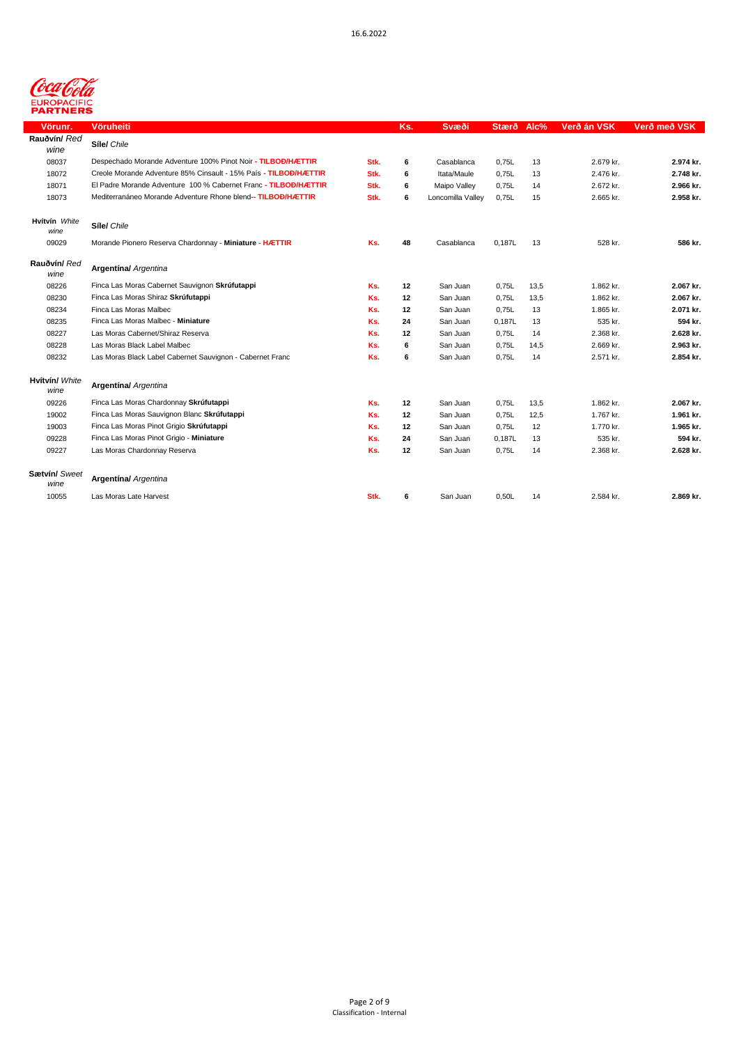

| Vörunr.                | <b>Vöruheiti</b>                                                 |      | Ks. | Svæði             | Stærð  | Alc% | Verð án VSK | Verð með VSK |
|------------------------|------------------------------------------------------------------|------|-----|-------------------|--------|------|-------------|--------------|
| Rauðvín/ Red           | Síle/ Chile                                                      |      |     |                   |        |      |             |              |
| wine                   |                                                                  |      |     |                   |        |      |             |              |
| 08037                  | Despechado Morande Adventure 100% Pinot Noir - TILBOĐ/HÆTTIR     | Stk. | 6   | Casablanca        | 0,75L  | 13   | 2.679 kr.   | 2.974 kr.    |
| 18072                  | Creole Morande Adventure 85% Cinsault - 15% País - TILBOĐ/HÆTTIR | Stk. | 6   | Itata/Maule       | 0,75L  | 13   | 2.476 kr.   | 2.748 kr.    |
| 18071                  | El Padre Morande Adventure 100 % Cabernet Franc - TILBOĐ/HÆTTIR  | Stk. | 6   | Maipo Valley      | 0,75L  | 14   | 2.672 kr.   | 2.966 kr.    |
| 18073                  | Mediterranáneo Morande Adventure Rhone blend-- TILBOĐ/HÆTTIR     | Stk. | 6   | Loncomilla Valley | 0,75L  | 15   | 2.665 kr.   | 2.958 kr.    |
| Hvítvín White<br>wine  | Síle/ Chile                                                      |      |     |                   |        |      |             |              |
| 09029                  | Morande Pionero Reserva Chardonnay - Miniature - HÆTTIR          | Ks.  | 48  | Casablanca        | 0,187L | 13   | 528 kr.     | 586 kr.      |
| Rauðvín/ Red<br>wine   | <b>Argentina/</b> Argentina                                      |      |     |                   |        |      |             |              |
| 08226                  | Finca Las Moras Cabernet Sauvignon Skrúfutappi                   | Ks.  | 12  | San Juan          | 0.75L  | 13,5 | 1.862 kr.   | 2.067 kr.    |
| 08230                  | Finca Las Moras Shiraz Skrúfutappi                               | Ks.  | 12  | San Juan          | 0,75L  | 13,5 | 1.862 kr.   | 2.067 kr.    |
| 08234                  | Finca Las Moras Malbec                                           | Ks.  | 12  | San Juan          | 0,75L  | 13   | 1.865 kr.   | 2.071 kr.    |
| 08235                  | Finca Las Moras Malbec - Miniature                               | Ks.  | 24  | San Juan          | 0,187L | 13   | 535 kr.     | 594 kr.      |
| 08227                  | Las Moras Cabernet/Shiraz Reserva                                | Ks.  | 12  | San Juan          | 0,75L  | 14   | 2.368 kr.   | 2.628 kr.    |
| 08228                  | Las Moras Black Label Malbec                                     | Ks.  | 6   | San Juan          | 0,75L  | 14,5 | 2.669 kr.   | 2.963 kr.    |
| 08232                  | Las Moras Black Label Cabernet Sauvignon - Cabernet Franc        | Ks.  | 6   | San Juan          | 0,75L  | 14   | 2.571 kr.   | 2.854 kr.    |
| Hvítvín/ White<br>wine | <b>Argentina/</b> Argentina                                      |      |     |                   |        |      |             |              |
| 09226                  | Finca Las Moras Chardonnay Skrúfutappi                           | Ks.  | 12  | San Juan          | 0,75L  | 13,5 | 1.862 kr.   | 2.067 kr.    |
| 19002                  | Finca Las Moras Sauvignon Blanc Skrúfutappi                      | Ks.  | 12  | San Juan          | 0,75L  | 12,5 | 1.767 kr.   | 1.961 kr.    |
| 19003                  | Finca Las Moras Pinot Grigio Skrúfutappi                         | Ks.  | 12  | San Juan          | 0,75L  | 12   | 1.770 kr.   | 1.965 kr.    |
| 09228                  | Finca Las Moras Pinot Grigio - Miniature                         | Ks.  | 24  | San Juan          | 0,187L | 13   | 535 kr.     | 594 kr.      |
| 09227                  | Las Moras Chardonnay Reserva                                     | Ks.  | 12  | San Juan          | 0,75L  | 14   | 2.368 kr.   | 2.628 kr.    |
| Sætvín/ Sweet<br>wine  | <b>Argentína/</b> Argentina                                      |      |     |                   |        |      |             |              |
| 10055                  | Las Moras Late Harvest                                           | Stk. | 6   | San Juan          | 0,50L  | 14   | 2.584 kr.   | 2.869 kr.    |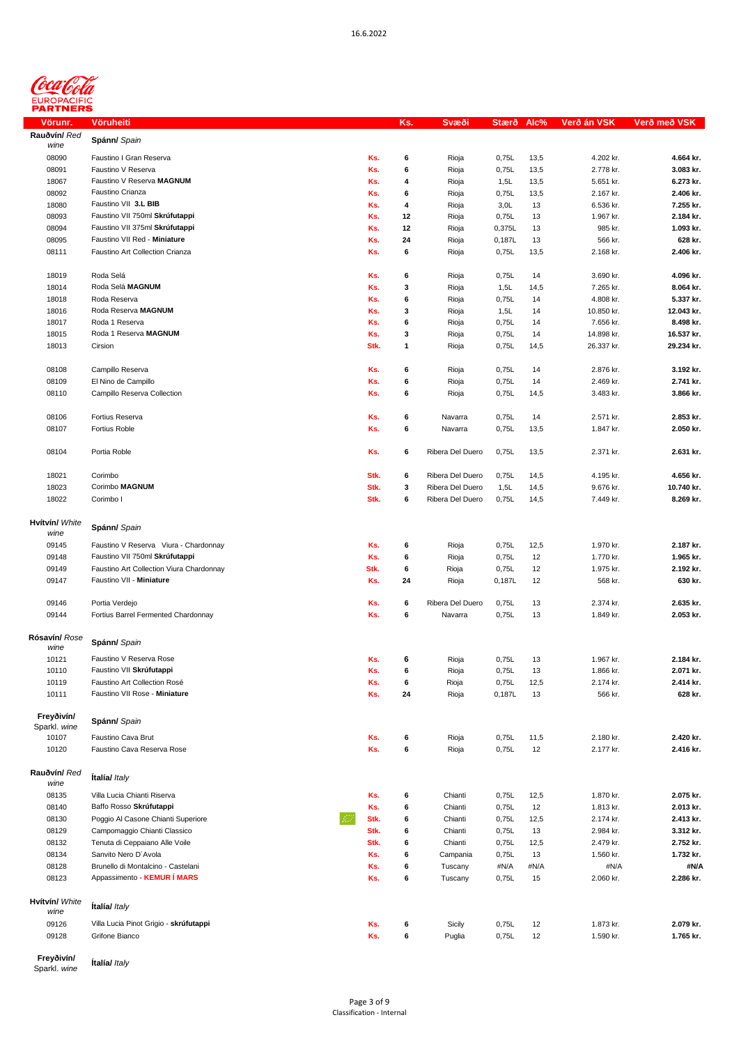

| <u>Vörunr.</u> | Vöruheiti                                |      | Ks. | Svæði            | Stærð  | Alc% | Verð án VSK | Verð með VSK |
|----------------|------------------------------------------|------|-----|------------------|--------|------|-------------|--------------|
| Rauðvín/ Red   |                                          |      |     |                  |        |      |             |              |
| wine           | Spánn/ Spain                             |      |     |                  |        |      |             |              |
| 08090          | Faustino I Gran Reserva                  | Ks.  | 6   | Rioja            | 0,75L  | 13,5 | 4.202 kr.   | 4.664 kr.    |
| 08091          | Faustino V Reserva                       | Ks.  | 6   | Rioja            | 0,75L  | 13,5 | 2.778 kr.   | 3.083 kr.    |
|                |                                          |      |     |                  |        |      |             |              |
| 18067          | Faustino V Reserva MAGNUM                | Ks.  | 4   | Rioja            | 1,5L   | 13,5 | 5.651 kr.   | 6.273 kr.    |
| 08092          | Faustino Crianza                         | Ks.  | 6   | Rioja            | 0,75L  | 13,5 | 2.167 kr.   | 2.406 kr.    |
| 18080          | Faustino VII 3.L BIB                     | Ks.  | 4   | Rioja            | 3,0L   | 13   | 6.536 kr.   | 7.255 kr.    |
| 08093          | Faustino VII 750ml Skrúfutappi           | Ks.  | 12  | Rioja            | 0,75L  | 13   | 1.967 kr.   | 2.184 kr.    |
| 08094          | Faustino VII 375ml Skrúfutappi           | Ks.  | 12  | Rioja            | 0,375L | 13   | 985 kr.     | 1.093 kr.    |
|                |                                          |      |     |                  |        |      |             |              |
| 08095          | Faustino VII Red - Miniature             | Ks.  | 24  | Rioja            | 0,187L | 13   | 566 kr.     | 628 kr.      |
| 08111          | Faustino Art Collection Crianza          | Ks.  | 6   | Rioja            | 0,75L  | 13,5 | 2.168 kr.   | 2.406 kr.    |
|                |                                          |      |     |                  |        |      |             |              |
| 18019          | Roda Selá                                | Ks.  | 6   | Rioja            | 0,75L  | 14   | 3.690 kr.   | 4.096 kr.    |
| 18014          | Roda Selá MAGNUM                         | Ks.  | 3   | Rioja            | 1,5L   | 14,5 | 7.265 kr.   | 8.064 kr.    |
|                |                                          |      |     |                  |        |      |             |              |
| 18018          | Roda Reserva                             | Ks.  | 6   | Rioja            | 0,75L  | 14   | 4.808 kr.   | 5.337 kr.    |
| 18016          | Roda Reserva MAGNUM                      | Ks.  | 3   | Rioja            | 1,5L   | 14   | 10.850 kr.  | 12.043 kr.   |
| 18017          | Roda 1 Reserva                           | Ks.  | 6   | Rioja            | 0,75L  | 14   | 7.656 kr.   | 8.498 kr.    |
| 18015          | Roda 1 Reserva MAGNUM                    | Ks.  | 3   | Rioja            | 0,75L  | 14   | 14.898 kr.  | 16.537 kr.   |
| 18013          | Cirsion                                  | Stk. | 1   |                  |        |      | 26.337 kr.  | 29.234 kr.   |
|                |                                          |      |     | Rioja            | 0,75L  | 14,5 |             |              |
|                |                                          |      |     |                  |        |      |             |              |
| 08108          | Campillo Reserva                         | Ks.  | 6   | Rioja            | 0,75L  | 14   | 2.876 kr.   | 3.192 kr.    |
| 08109          | El Nino de Campillo                      | Ks.  | 6   | Rioja            | 0,75L  | 14   | 2.469 kr.   | 2.741 kr.    |
| 08110          | Campillo Reserva Collection              | Ks.  | 6   | Rioja            | 0,75L  | 14,5 | 3.483 kr.   | 3.866 kr.    |
|                |                                          |      |     |                  |        |      |             |              |
|                |                                          |      |     |                  |        |      |             |              |
| 08106          | Fortius Reserva                          | Ks.  | 6   | Navarra          | 0,75L  | 14   | 2.571 kr.   | 2.853 kr.    |
| 08107          | Fortius Roble                            | Ks.  | 6   | Navarra          | 0,75L  | 13,5 | 1.847 kr.   | 2.050 kr.    |
|                |                                          |      |     |                  |        |      |             |              |
| 08104          | Portia Roble                             | Ks.  | 6   | Ribera Del Duero | 0,75L  | 13,5 | 2.371 kr.   | 2.631 kr.    |
|                |                                          |      |     |                  |        |      |             |              |
|                |                                          |      |     |                  |        |      |             |              |
| 18021          | Corimbo                                  | Stk. | 6   | Ribera Del Duero | 0,75L  | 14,5 | 4.195 kr.   | 4.656 kr.    |
| 18023          | Corimbo MAGNUM                           | Stk. | 3   | Ribera Del Duero | 1,5L   | 14,5 | 9.676 kr.   | 10.740 kr.   |
| 18022          | Corimbo I                                | Stk. | 6   | Ribera Del Duero | 0,75L  | 14,5 | 7.449 kr.   | 8.269 kr.    |
|                |                                          |      |     |                  |        |      |             |              |
|                |                                          |      |     |                  |        |      |             |              |
| Hvítvín/ White | Spánn/ Spain                             |      |     |                  |        |      |             |              |
| wine           |                                          |      |     |                  |        |      |             |              |
| 09145          | Faustino V Reserva Viura - Chardonnay    | Ks.  | 6   | Rioja            | 0,75L  | 12,5 | 1.970 kr.   | 2.187 kr.    |
| 09148          | Faustino VII 750ml Skrúfutappi           | Ks.  | 6   | Rioja            | 0,75L  | 12   | 1.770 kr.   | 1.965 kr.    |
| 09149          | Faustino Art Collection Viura Chardonnay | Stk. | 6   | Rioja            | 0,75L  | 12   | 1.975 kr.   | 2.192 kr.    |
|                |                                          |      |     |                  |        |      |             |              |
| 09147          | Faustino VII - Miniature                 | Ks.  | 24  | Rioja            | 0,187L | 12   | 568 kr.     | 630 kr.      |
|                |                                          |      |     |                  |        |      |             |              |
| 09146          | Portia Verdejo                           | Ks.  | 6   | Ribera Del Duero | 0,75L  | 13   | 2.374 kr.   | 2.635 kr.    |
| 09144          | Fortius Barrel Fermented Chardonnay      | Ks.  | 6   | Navarra          | 0,75L  | 13   | 1.849 kr.   | 2.053 kr.    |
|                |                                          |      |     |                  |        |      |             |              |
| Rósavín/ Rose  |                                          |      |     |                  |        |      |             |              |
| wine           | Spánn/ Spain                             |      |     |                  |        |      |             |              |
|                | Faustino V Reserva Rose                  |      |     |                  |        |      |             | 2.184 kr.    |
| 10121          |                                          | Ks.  | 6   | Rioja            | 0,75L  | 13   | 1.967 kr.   |              |
| 10110          | Faustino VII Skrúfutappi                 | Ks.  | 6   | Rioja            | 0,75L  | 13   | 1.866 kr.   | 2.071 kr.    |
| 10119          | Faustino Art Collection Rosé             | Ks.  | 6   | Rioja            | 0,75L  | 12,5 | 2.174 kr.   | 2.414 kr.    |
| 10111          | Faustino VII Rose - Miniature            | Ks.  | 24  | Rioja            | 0,187L | 13   | 566 kr.     | 628 kr.      |
|                |                                          |      |     |                  |        |      |             |              |
| Freyðivín/     |                                          |      |     |                  |        |      |             |              |
| Sparkl. wine   | Spánn/ Spain                             |      |     |                  |        |      |             |              |
| 10107          | Faustino Cava Brut                       | Ks.  | 6   | Rioja            | 0,75L  | 11,5 | 2.180 kr.   | 2.420 kr.    |
|                |                                          |      |     |                  |        |      |             |              |
| 10120          | Faustino Cava Reserva Rose               | Ks.  | 6   | Rioja            | 0,75L  | 12   | 2.177 kr.   | 2.416 kr.    |
|                |                                          |      |     |                  |        |      |             |              |
| Rauðvín/ Red   |                                          |      |     |                  |        |      |             |              |
| wine           | <b>Italia/ Italy</b>                     |      |     |                  |        |      |             |              |
| 08135          | Villa Lucia Chianti Riserva              | Ks.  | 6   | Chianti          | 0,75L  | 12,5 | 1.870 kr.   | 2.075 kr.    |
|                |                                          |      |     |                  |        |      |             |              |
| 08140          | Baffo Rosso Skrúfutappi                  | Ks.  | 6   | Chianti          | 0,75L  | 12   | 1.813 kr.   | 2.013 kr.    |
| 08130          | Poggio Al Casone Chianti Superiore       | Stk. | 6   | Chianti          | 0,75L  | 12,5 | 2.174 kr.   | 2.413 kr.    |
| 08129          | Campomaggio Chianti Classico             | Stk. | 6   | Chianti          | 0,75L  | 13   | 2.984 kr.   | 3.312 kr.    |
| 08132          | Tenuta di Ceppaiano Alle Voile           | Stk. | 6   | Chianti          | 0,75L  | 12,5 | 2.479 kr.   | 2.752 kr.    |
| 08134          | Sanvito Nero D'Avola                     | Ks.  | 6   | Campania         | 0,75L  | 13   | 1.560 kr.   | 1.732 kr.    |
|                |                                          |      |     |                  |        |      |             |              |
| 08128          | Brunello di Montalcino - Castelani       | Ks.  | 6   | Tuscany          | #N/A   | #N/A | #N/A        | #N/A         |
| 08123          | Appassimento - KEMUR Í MARS              | Ks.  | 6   | Tuscany          | 0,75L  | 15   | 2.060 kr.   | 2.286 kr.    |
|                |                                          |      |     |                  |        |      |             |              |
| Hvítvín/ White |                                          |      |     |                  |        |      |             |              |
| wine           | <b>Italia/ Italy</b>                     |      |     |                  |        |      |             |              |
| 09126          | Villa Lucia Pinot Grigio - skrúfutappi   | Ks.  | 6   | Sicily           | 0,75L  | 12   | 1.873 kr.   | 2.079 kr.    |
|                |                                          |      |     |                  |        |      |             |              |
| 09128          | Grifone Bianco                           | Ks.  | 6   | Puglia           | 0,75L  | 12   | 1.590 kr.   | 1.765 kr.    |
|                |                                          |      |     |                  |        |      |             |              |

**Freyðivín/**  Sparkl. *wine* **Ítalía/** *Italy*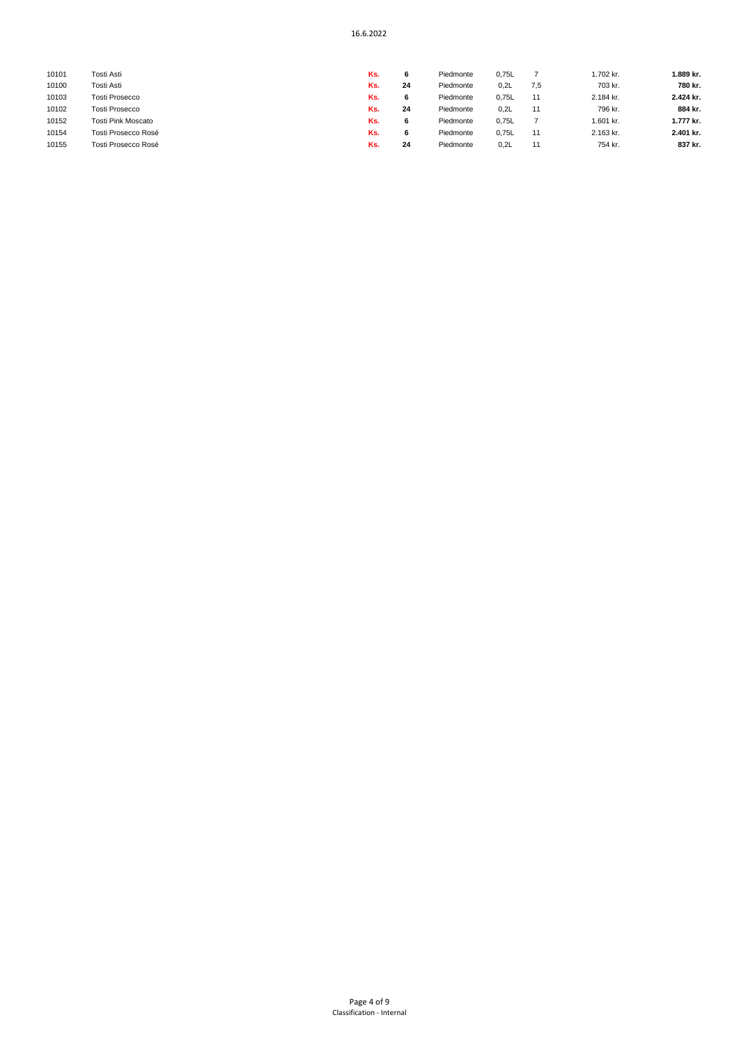| 10101 | Tosti Asti                | Ks. |    | Piedmonte | 0,75L |     | 1.702 kr. | 1.889 kr. |
|-------|---------------------------|-----|----|-----------|-------|-----|-----------|-----------|
| 10100 | Tosti Asti                | Ks. | 24 | Piedmonte | 0,2L  | 7,5 | 703 kr.   | 780 kr.   |
| 10103 | <b>Tosti Prosecco</b>     | Ks. |    | Piedmonte | 0.75L | 11  | 2.184 kr. | 2.424 kr. |
| 10102 | <b>Tosti Prosecco</b>     | Ks. | 24 | Piedmonte | 0.2L  | 11  | 796 kr.   | 884 kr.   |
| 10152 | <b>Tosti Pink Moscato</b> | Ks. |    | Piedmonte | 0,75L |     | 1.601 kr. | 1.777 kr. |
| 10154 | Tosti Prosecco Rosé       | Ks. |    | Piedmonte | 0.75L | 11  | 2.163 kr. | 2.401 kr. |
| 10155 | Tosti Prosecco Rosé       | Ks. | 24 | Piedmonte | 0,2L  | 11  | 754 kr.   | 837 kr.   |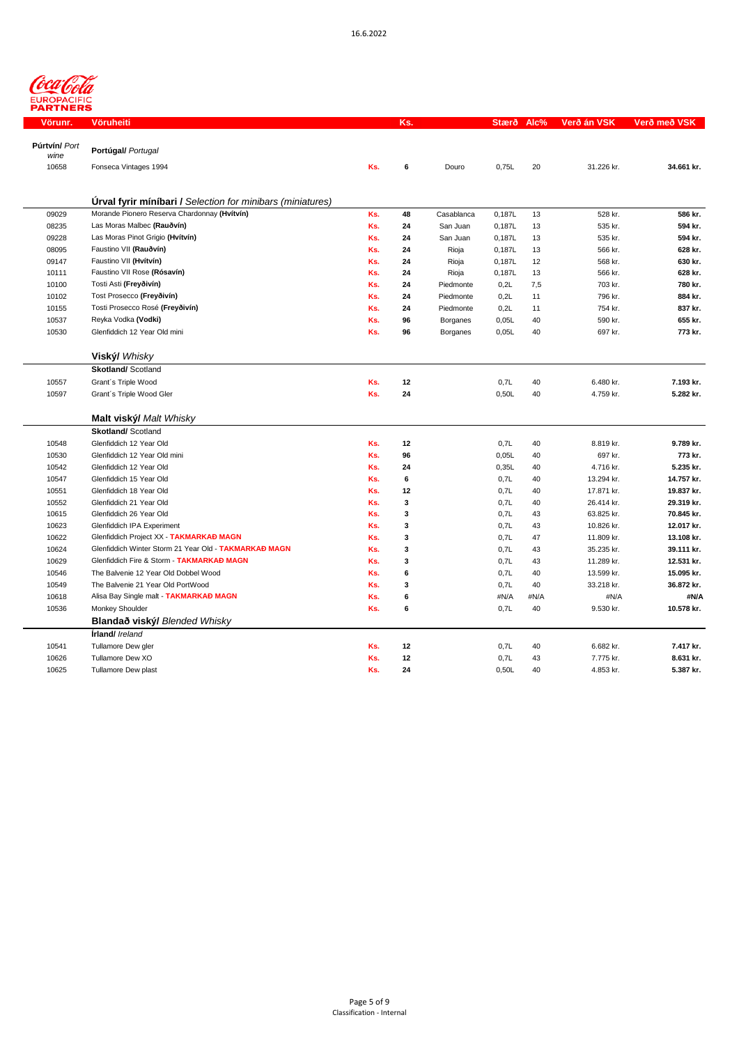

| Vörunr.               | Vöruheiti                                                         |     | Ks.          |            | Stærð Alc% |      | Verð án VSK | Verð með VSK |
|-----------------------|-------------------------------------------------------------------|-----|--------------|------------|------------|------|-------------|--------------|
| Púrtvín/ Port<br>wine | Portúgal/ Portugal                                                |     |              |            |            |      |             |              |
| 10658                 | Fonseca Vintages 1994                                             | Ks. | 6            | Douro      | 0,75L      | 20   | 31.226 kr.  | 34.661 kr.   |
|                       | <b>Úrval fyrir míníbari / Selection for minibars (miniatures)</b> |     |              |            |            |      |             |              |
| 09029                 | Morande Pionero Reserva Chardonnay (Hvítvín)                      | Ks. | 48           | Casablanca | 0,187L     | 13   | 528 kr.     | 586 kr.      |
| 08235                 | Las Moras Malbec (Rauðvín)                                        | Ks. | 24           | San Juan   | 0,187L     | 13   | 535 kr.     | 594 kr.      |
| 09228                 | Las Moras Pinot Grigio (Hvítvín)                                  | Ks. | 24           | San Juan   | 0,187L     | 13   | 535 kr.     | 594 kr.      |
| 08095                 | Faustino VII (Rauðvín)                                            | Ks. | 24           | Rioja      | 0,187L     | 13   | 566 kr.     | 628 kr.      |
| 09147                 | Faustino VII (Hvítvín)                                            | Ks. | 24           | Rioja      | 0,187L     | 12   | 568 kr.     | 630 kr.      |
| 10111                 | Faustino VII Rose (Rósavín)                                       | Ks. | 24           | Rioja      | 0,187L     | 13   | 566 kr.     | 628 kr.      |
| 10100                 | Tosti Asti (Freyðivín)                                            | Ks. | 24           | Piedmonte  | 0,2L       | 7,5  | 703 kr.     | 780 kr.      |
| 10102                 | Tost Prosecco (Freyðivín)                                         | Ks. | 24           | Piedmonte  | 0,2L       | 11   | 796 kr.     | 884 kr.      |
| 10155                 | Tosti Prosecco Rosé (Freyðivín)                                   | Ks. | 24           | Piedmonte  | 0,2L       | 11   | 754 kr.     | 837 kr.      |
| 10537                 | Reyka Vodka (Vodki)                                               | Ks. | 96           | Borganes   | 0,05L      | 40   | 590 kr.     | 655 kr.      |
| 10530                 | Glenfiddich 12 Year Old mini                                      | Ks. | 96           | Borganes   | 0,05L      | 40   | 697 kr.     | 773 kr.      |
|                       | Viský/ Whisky                                                     |     |              |            |            |      |             |              |
|                       | <b>Skotland/ Scotland</b>                                         |     |              |            |            |      |             |              |
| 10557                 | Grant's Triple Wood                                               | Ks. | 12           |            | 0,7L       | 40   | 6.480 kr.   | 7.193 kr.    |
| 10597                 | Grant's Triple Wood Gler                                          | Ks. | 24           |            | 0,50L      | 40   | 4.759 kr.   | 5.282 kr.    |
|                       | Malt viský/ Malt Whisky                                           |     |              |            |            |      |             |              |
|                       | <b>Skotland/ Scotland</b>                                         |     |              |            |            |      |             |              |
| 10548                 | Glenfiddich 12 Year Old                                           | Ks. | 12           |            | 0,7L       | 40   | 8.819 kr.   | 9.789 kr.    |
| 10530                 | Glenfiddich 12 Year Old mini                                      | Ks. | 96           |            | 0,05L      | 40   | 697 kr.     | 773 kr.      |
| 10542                 | Glenfiddich 12 Year Old                                           | Ks. | 24           |            | 0,35L      | 40   | 4.716 kr.   | 5.235 kr.    |
| 10547                 | Glenfiddich 15 Year Old                                           | Ks. | 6            |            | 0,7L       | 40   | 13.294 kr.  | 14.757 kr.   |
| 10551                 | Glenfiddich 18 Year Old                                           | Ks. | 12           |            | 0,7L       | 40   | 17.871 kr.  | 19.837 kr.   |
| 10552                 | Glenfiddich 21 Year Old                                           | Ks. | $\mathbf{3}$ |            | 0,7L       | 40   | 26.414 kr.  | 29.319 kr.   |
| 10615                 | Glenfiddich 26 Year Old                                           | Ks. | 3            |            | 0,7L       | 43   | 63.825 kr.  | 70.845 kr.   |
| 10623                 | Glenfiddich IPA Experiment                                        | Ks. | 3            |            | 0,7L       | 43   | 10.826 kr.  | 12.017 kr.   |
| 10622                 | Glenfiddich Project XX - TAKMARKAÐ MAGN                           | Ks. | 3            |            | 0,7L       | 47   | 11.809 kr.  | 13.108 kr.   |
| 10624                 | Glenfiddich Winter Storm 21 Year Old - TAKMARKAÐ MAGN             | Ks. | 3            |            | 0,7L       | 43   | 35.235 kr.  | 39.111 kr.   |
| 10629                 | Glenfiddich Fire & Storm - TAKMARKAÐ MAGN                         | Ks. | 3            |            | 0,7L       | 43   | 11.289 kr.  | 12.531 kr.   |
| 10546                 | The Balvenie 12 Year Old Dobbel Wood                              | Ks. | 6            |            | 0,7L       | 40   | 13.599 kr.  | 15.095 kr.   |
| 10549                 | The Balvenie 21 Year Old PortWood                                 | Ks. | 3            |            | 0.7L       | 40   | 33.218 kr.  | 36.872 kr.   |
| 10618                 | Alisa Bay Single malt - TAKMARKAÐ MAGN                            | Ks. | 6            |            | #N/A       | #N/A | #N/A        | #N/A         |
| 10536                 | Monkey Shoulder                                                   | Ks. | 6            |            | 0,7L       | 40   | 9.530 kr.   | 10.578 kr.   |
|                       | Blandað viský/ Blended Whisky                                     |     |              |            |            |      |             |              |
|                       | <b>Írland/</b> Ireland                                            |     |              |            |            |      |             |              |
| 10541                 | Tullamore Dew gler                                                | Ks. | 12           |            | 0,7L       | 40   | 6.682 kr.   | 7.417 kr.    |
| 10626                 | Tullamore Dew XO                                                  | Ks. | 12           |            | 0,7L       | 43   | 7.775 kr.   | 8.631 kr.    |
| 10625                 | Tullamore Dew plast                                               | Ks. | 24           |            | 0,50L      | 40   | 4.853 kr.   | 5.387 kr.    |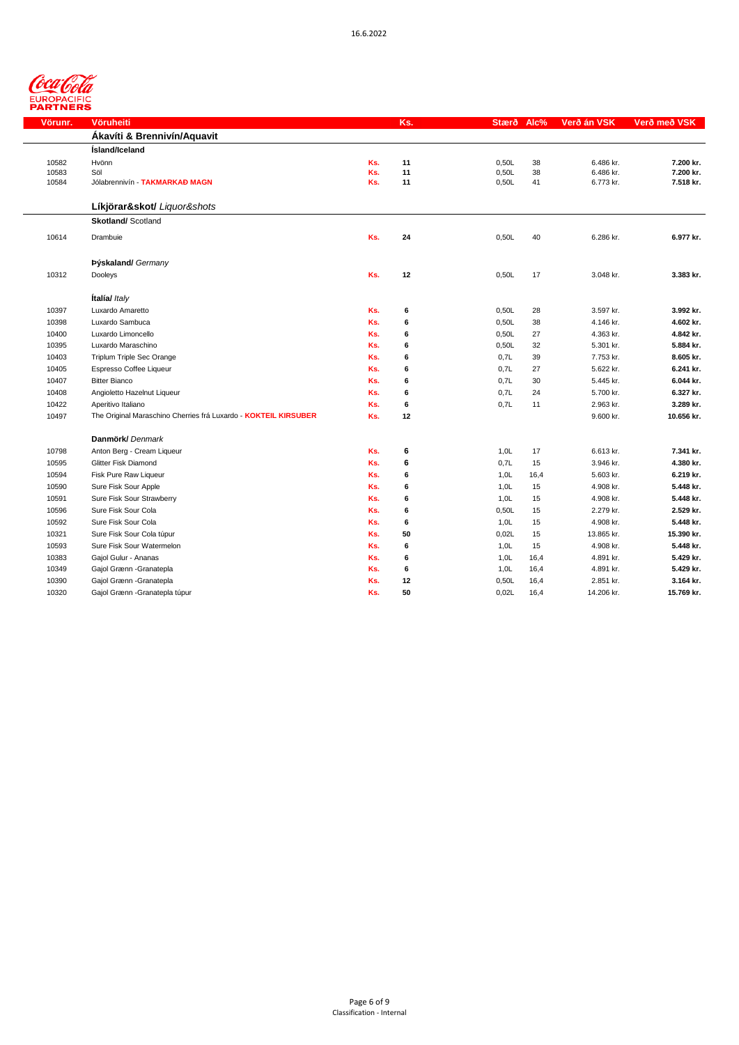

| Vörunr. | Vöruheiti                                                       |     | Ks. | Stærð Alc% |      | Verð án VSK | Verð með VSK |
|---------|-----------------------------------------------------------------|-----|-----|------------|------|-------------|--------------|
|         | Ákavíti & Brennivín/Aquavit                                     |     |     |            |      |             |              |
|         | <b>Ísland/Iceland</b>                                           |     |     |            |      |             |              |
| 10582   | Hvönn                                                           | Ks. | 11  | 0,50L      | 38   | 6.486 kr.   | 7.200 kr.    |
| 10583   | Söl                                                             | Ks. | 11  | 0,50L      | 38   | 6.486 kr.   | 7.200 kr.    |
| 10584   | Jólabrennivín - TAKMARKAÐ MAGN                                  | Ks. | 11  | 0,50L      | 41   | 6.773 kr.   | 7.518 kr.    |
|         |                                                                 |     |     |            |      |             |              |
|         | Líkjörar&skot/ Liguor&shots                                     |     |     |            |      |             |              |
|         | <b>Skotland/Scotland</b>                                        |     |     |            |      |             |              |
| 10614   | Drambuie                                                        | Ks. | 24  | 0,50L      | 40   | 6.286 kr.   | 6.977 kr.    |
|         |                                                                 |     |     |            |      |             |              |
|         | Þýskaland/ Germany                                              |     |     |            |      |             |              |
| 10312   | Dooleys                                                         | Ks. | 12  | 0,50L      | 17   | 3.048 kr.   | 3.383 kr.    |
|         |                                                                 |     |     |            |      |             |              |
|         | Ítalía/ Italy                                                   |     |     |            |      |             |              |
| 10397   | Luxardo Amaretto                                                | Ks. | 6   | 0,50L      | 28   | 3.597 kr.   | 3.992 kr.    |
| 10398   | Luxardo Sambuca                                                 | Ks. | 6   | 0,50L      | 38   | 4.146 kr.   | 4.602 kr.    |
| 10400   | Luxardo Limoncello                                              | Ks. | 6   | 0,50L      | 27   | 4.363 kr.   | 4.842 kr.    |
| 10395   | Luxardo Maraschino                                              | Ks. | 6   | 0,50L      | 32   | 5.301 kr.   | 5.884 kr.    |
| 10403   | Triplum Triple Sec Orange                                       | Ks. | 6   | 0,7L       | 39   | 7.753 kr.   | 8.605 kr.    |
| 10405   | Espresso Coffee Liqueur                                         | Ks. | 6   | 0,7L       | 27   | 5.622 kr.   | 6.241 kr.    |
| 10407   | <b>Bitter Bianco</b>                                            | Ks. | 6   | 0,7L       | 30   | 5.445 kr.   | 6.044 kr.    |
| 10408   | Angioletto Hazelnut Liqueur                                     | Ks. | 6   | 0,7L       | 24   | 5.700 kr.   | 6.327 kr.    |
| 10422   | Aperitivo Italiano                                              | Ks. | 6   | 0,7L       | 11   | 2.963 kr.   | 3.289 kr.    |
| 10497   | The Original Maraschino Cherries frá Luxardo - KOKTEIL KIRSUBER | Ks. | 12  |            |      | 9.600 kr.   | 10.656 kr.   |
|         |                                                                 |     |     |            |      |             |              |
|         | Danmörk/ Denmark                                                |     |     |            |      |             |              |
| 10798   | Anton Berg - Cream Liqueur                                      | Ks. | 6   | 1,0L       | 17   | 6.613 kr.   | 7.341 kr.    |
| 10595   | Glitter Fisk Diamond                                            | Ks. | 6   | 0,7L       | 15   | 3.946 kr.   | 4.380 kr.    |
| 10594   | Fisk Pure Raw Liqueur                                           | Ks. | 6   | 1,0L       | 16,4 | 5.603 kr.   | 6.219 kr.    |
| 10590   | Sure Fisk Sour Apple                                            | Ks. | 6   | 1,0L       | 15   | 4.908 kr.   | 5.448 kr.    |
| 10591   | Sure Fisk Sour Strawberry                                       | Ks. | 6   | 1,0L       | 15   | 4.908 kr.   | 5.448 kr.    |
| 10596   | Sure Fisk Sour Cola                                             | Ks. | 6   | 0,50L      | 15   | 2.279 kr.   | 2.529 kr.    |
| 10592   | Sure Fisk Sour Cola                                             | Ks. | 6   | 1,0L       | 15   | 4.908 kr.   | 5.448 kr.    |
| 10321   | Sure Fisk Sour Cola túpur                                       | Ks. | 50  | 0,02L      | 15   | 13.865 kr.  | 15.390 kr.   |
| 10593   | Sure Fisk Sour Watermelon                                       | Ks. | 6   | 1,0L       | 15   | 4.908 kr.   | 5.448 kr.    |
| 10383   | Gajol Gulur - Ananas                                            | Ks. | 6   | 1,0L       | 16,4 | 4.891 kr.   | 5.429 kr.    |
| 10349   | Gajol Grænn - Granatepla                                        | Ks. | 6   | 1,0L       | 16,4 | 4.891 kr.   | 5.429 kr.    |
| 10390   | Gajol Grænn - Granatepla                                        | Ks. | 12  | 0,50L      | 16,4 | 2.851 kr.   | 3.164 kr.    |
| 10320   | Gajol Grænn - Granatepla túpur                                  | Ks. | 50  | 0,02L      | 16,4 | 14.206 kr.  | 15.769 kr.   |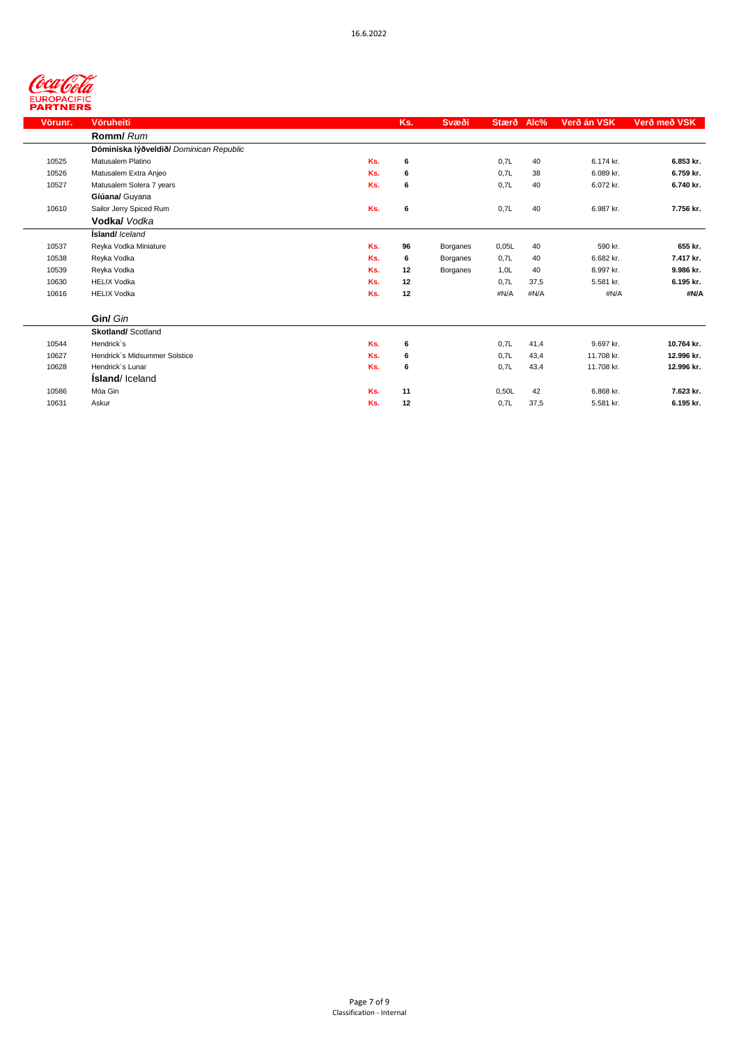| Vörunr. | Vöruheiti                               |     | Ks. | Svæði    | Stærð | Alc% | Verð án VSK | Verð með VSK |
|---------|-----------------------------------------|-----|-----|----------|-------|------|-------------|--------------|
|         | Romm/ Rum                               |     |     |          |       |      |             |              |
|         | Dóminíska lýðveldið/ Dominican Republic |     |     |          |       |      |             |              |
| 10525   | Matusalem Platino                       | Ks. | 6   |          | 0,7L  | 40   | 6.174 kr.   | 6.853 kr.    |
| 10526   | Matusalem Extra Anjeo                   | Ks. | 6   |          | 0,7L  | 38   | 6.089 kr.   | 6.759 kr.    |
| 10527   | Matusalem Solera 7 years                | Ks. | 6   |          | 0,7L  | 40   | 6.072 kr.   | 6.740 kr.    |
|         | Gíúana/ Guyana                          |     |     |          |       |      |             |              |
| 10610   | Sailor Jerry Spiced Rum                 | Ks. | 6   |          | 0,7L  | 40   | 6.987 kr.   | 7.756 kr.    |
|         | Vodka/ Vodka                            |     |     |          |       |      |             |              |
|         | <b>Ísland/</b> Iceland                  |     |     |          |       |      |             |              |
| 10537   | Reyka Vodka Miniature                   | Ks. | 96  | Borganes | 0,05L | 40   | 590 kr.     | 655 kr.      |
| 10538   | Reyka Vodka                             | Ks. | 6   | Borganes | 0,7L  | 40   | 6.682 kr.   | 7.417 kr.    |
| 10539   | Reyka Vodka                             | Ks. | 12  | Borganes | 1,0L  | 40   | 8.997 kr.   | 9.986 kr.    |
| 10630   | <b>HELIX Vodka</b>                      | Ks. | 12  |          | 0,7L  | 37,5 | 5.581 kr.   | 6.195 kr.    |
| 10616   | <b>HELIX Vodka</b>                      | Ks. | 12  |          | #N/A  | #N/A | #N/A        | #N/A         |
|         | Gin/ Gin                                |     |     |          |       |      |             |              |
|         | <b>Skotland/ Scotland</b>               |     |     |          |       |      |             |              |
| 10544   | Hendrick's                              | Ks. | 6   |          | 0,7L  | 41,4 | 9.697 kr.   | 10.764 kr.   |
| 10627   | Hendrick's Midsummer Solstice           | Ks. | 6   |          | 0,7L  | 43,4 | 11.708 kr.  | 12.996 kr.   |
| 10628   | Hendrick's Lunar                        | Ks. | 6   |          | 0,7L  | 43,4 | 11.708 kr.  | 12.996 kr.   |
|         | <b>Island</b> /Iceland                  |     |     |          |       |      |             |              |
| 10586   | Móa Gin                                 | Ks. | 11  |          | 0,50L | 42   | 6.868 kr.   | 7.623 kr.    |
| 10631   | Askur                                   | Ks. | 12  |          | 0,7L  | 37,5 | 5.581 kr.   | 6.195 kr.    |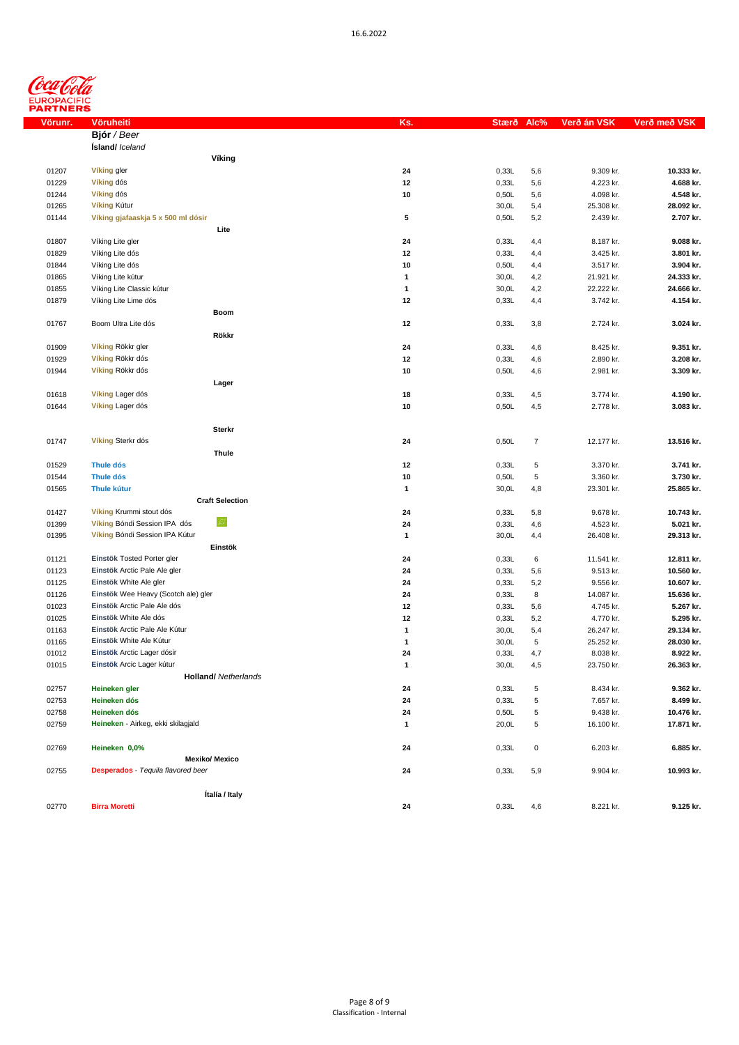

| Vörunr. | Vöruheiti                                 |                             | Ks.          | Stærð | Alc%                    | Verð á <u>n VSK</u> | Verð með VSK |
|---------|-------------------------------------------|-----------------------------|--------------|-------|-------------------------|---------------------|--------------|
|         | Bjór / Beer                               |                             |              |       |                         |                     |              |
|         | <b>Ísland/</b> Iceland                    |                             |              |       |                         |                     |              |
|         |                                           | Víking                      |              |       |                         |                     |              |
| 01207   | Víking gler                               |                             | 24           | 0,33L | 5,6                     | 9.309 kr.           | 10.333 kr.   |
| 01229   | Víking dós                                |                             | 12           | 0,33L | 5,6                     | 4.223 kr.           | 4.688 kr.    |
| 01244   | Víking dós                                |                             | 10           | 0,50L | 5,6                     | 4.098 kr.           | 4.548 kr.    |
| 01265   | Víking Kútur                              |                             |              | 30,0L | 5,4                     | 25.308 kr.          | 28.092 kr.   |
| 01144   | Víking gjafaaskja 5 x 500 ml dósir        |                             | 5            | 0,50L | 5,2                     | 2.439 kr.           | 2.707 kr.    |
|         |                                           | Lite                        |              |       |                         |                     |              |
|         |                                           |                             |              |       |                         |                     |              |
| 01807   | Víking Lite gler                          |                             | 24           | 0,33L | 4,4                     | 8.187 kr.           | 9.088 kr.    |
| 01829   | Víking Lite dós                           |                             | 12           | 0,33L | 4,4                     | 3.425 kr.           | 3.801 kr.    |
| 01844   | Víking Lite dós                           |                             | 10           | 0,50L | 4,4                     | 3.517 kr.           | 3.904 kr.    |
| 01865   | Víking Lite kútur                         |                             | $\mathbf{1}$ | 30,0L | 4,2                     | 21.921 kr.          | 24.333 kr.   |
| 01855   | Víking Lite Classic kútur                 |                             | $\mathbf{1}$ | 30,0L | 4,2                     | 22.222 kr.          | 24.666 kr.   |
| 01879   | Víking Lite Lime dós                      |                             | 12           | 0,33L | 4,4                     | 3.742 kr.           | 4.154 kr.    |
|         |                                           | Boom                        |              |       |                         |                     |              |
| 01767   | Boom Ultra Lite dós                       |                             | 12           | 0,33L | 3,8                     | 2.724 kr.           | 3.024 kr.    |
|         |                                           | Rökkr                       |              |       |                         |                     |              |
| 01909   | Víking Rökkr gler                         |                             | 24           | 0,33L | 4,6                     | 8.425 kr.           | 9.351 kr.    |
| 01929   | Víking Rökkr dós                          |                             | 12           | 0,33L | 4,6                     | 2.890 kr.           | 3.208 kr.    |
| 01944   | Víking Rökkr dós                          |                             | 10           | 0,50L | 4,6                     | 2.981 kr.           | 3.309 kr.    |
|         |                                           | Lager                       |              |       |                         |                     |              |
| 01618   | Víking Lager dós                          |                             | 18           | 0,33L | 4,5                     | 3.774 kr.           | 4.190 kr.    |
| 01644   | Víking Lager dós                          |                             | 10           | 0,50L | 4,5                     | 2.778 kr.           | 3.083 kr.    |
|         |                                           |                             |              |       |                         |                     |              |
|         |                                           | <b>Sterkr</b>               |              |       |                         |                     |              |
|         | Víking Sterkr dós                         |                             |              |       | $\overline{\mathbf{7}}$ |                     |              |
| 01747   |                                           |                             | 24           | 0,50L |                         | 12.177 kr.          | 13.516 kr.   |
|         |                                           | Thule                       |              |       |                         |                     |              |
| 01529   | <b>Thule dós</b>                          |                             | 12           | 0,33L | 5                       | 3.370 kr.           | 3.741 kr.    |
| 01544   | <b>Thule dós</b>                          |                             | 10           | 0,50L | 5                       | 3.360 kr.           | 3.730 kr.    |
| 01565   | <b>Thule kútur</b>                        |                             | $\mathbf{1}$ | 30,0L | 4,8                     | 23.301 kr.          | 25.865 kr.   |
|         |                                           | <b>Craft Selection</b>      |              |       |                         |                     |              |
| 01427   | Víking Krummi stout dós                   |                             | 24           | 0,33L | 5,8                     | 9.678 kr.           | 10.743 kr.   |
| 01399   | Víking Bóndi Session IPA dós              | W.                          | 24           | 0,33L | 4,6                     | 4.523 kr.           | 5.021 kr.    |
| 01395   | Víking Bóndi Session IPA Kútur            |                             | $\mathbf{1}$ | 30,0L | 4,4                     | 26.408 kr.          | 29.313 kr.   |
|         |                                           | Einstök                     |              |       |                         |                     |              |
| 01121   | Einstök Tosted Porter gler                |                             | 24           | 0,33L | 6                       | 11.541 kr.          | 12.811 kr.   |
| 01123   | Einstök Arctic Pale Ale gler              |                             | 24           | 0,33L | 5,6                     | 9.513 kr.           | 10.560 kr.   |
| 01125   | Einstök White Ale gler                    |                             | 24           | 0,33L | 5,2                     | 9.556 kr.           | 10.607 kr.   |
| 01126   | Einstök Wee Heavy (Scotch ale) gler       |                             | 24           | 0,33L | 8                       | 14.087 kr.          | 15.636 kr.   |
| 01023   | Einstök Arctic Pale Ale dós               |                             | 12           | 0,33L | 5,6                     | 4.745 kr.           | 5.267 kr.    |
| 01025   | Einstök White Ale dós                     |                             | 12           | 0,33L | 5,2                     | 4.770 kr.           | 5.295 kr.    |
| 01163   | Einstök Arctic Pale Ale Kútur             |                             | 1            | 30,0L | 5,4                     | 26.247 kr.          | 29.134 kr.   |
| 01165   | Einstök White Ale Kútur                   |                             | 1            | 30,0L | 5                       | 25.252 kr.          | 28.030 kr.   |
| 01012   | Einstök Arctic Lager dósir                |                             | 24           | 0,33L | 4,7                     | 8.038 kr.           | 8.922 kr.    |
| 01015   | Einstök Arcic Lager kútur                 |                             | $\mathbf{1}$ | 30,0L |                         | 23.750 kr.          | 26.363 kr.   |
|         |                                           |                             |              |       | 4,5                     |                     |              |
|         |                                           | <b>Holland/</b> Netherlands |              |       |                         |                     |              |
| 02757   | Heineken gler                             |                             | 24           | 0,33L | 5                       | 8.434 kr.           | 9.362 kr.    |
| 02753   | Heineken dós                              |                             | 24           | 0,33L | 5                       | 7.657 kr.           | 8.499 kr.    |
| 02758   | Heineken dós                              |                             | 24           | 0,50L | 5                       | 9.438 kr.           | 10.476 kr.   |
| 02759   | Heineken - Airkeg, ekki skilagjald        |                             | 1            | 20,0L | 5                       | 16.100 kr.          | 17.871 kr.   |
|         |                                           |                             |              |       |                         |                     |              |
| 02769   | Heineken 0,0%                             |                             | 24           | 0,33L | 0                       | 6.203 kr.           | 6.885 kr.    |
|         |                                           | <b>Mexiko/ Mexico</b>       |              |       |                         |                     |              |
| 02755   | <b>Desperados</b> - Tequila flavored beer |                             | 24           | 0,33L | 5,9                     | 9.904 kr.           | 10.993 kr.   |
|         |                                           |                             |              |       |                         |                     |              |
|         |                                           | Ítalía / Italy              |              |       |                         |                     |              |
| 02770   | <b>Birra Moretti</b>                      |                             | 24           | 0,33L | 4,6                     | 8.221 kr.           | 9.125 kr.    |